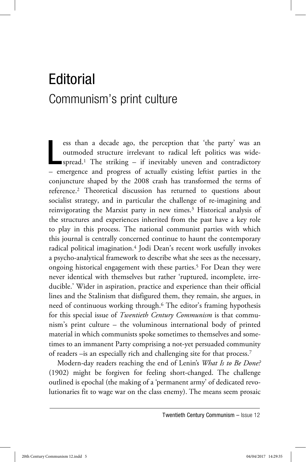## Editorial Communism's print culture

ess than a decade ago, the perception that 'the party' was an outmoded structure irrelevant to radical left politics was wide-<br>spread.<sup>1</sup> The striking – if inevitably uneven and contradictory ess than a decade ago, the perception that 'the party' was an outmoded structure irrelevant to radical left politics was wide-– emergence and progress of actually existing leftist parties in the conjuncture shaped by the 2008 crash has transformed the terms of reference.2 Theoretical discussion has returned to questions about socialist strategy, and in particular the challenge of re-imagining and reinvigorating the Marxist party in new times.<sup>3</sup> Historical analysis of the structures and experiences inherited from the past have a key role to play in this process. The national communist parties with which this journal is centrally concerned continue to haunt the contemporary radical political imagination.4 Jodi Dean's recent work usefully invokes a psycho-analytical framework to describe what she sees as the necessary, ongoing historical engagement with these parties.<sup>5</sup> For Dean they were never identical with themselves but rather 'ruptured, incomplete, irreducible.' Wider in aspiration, practice and experience than their official lines and the Stalinism that disfigured them, they remain, she argues, in need of continuous working through.6 The editor's framing hypothesis for this special issue of *Twentieth Century Communism* is that communism's print culture – the voluminous international body of printed material in which communists spoke sometimes to themselves and sometimes to an immanent Party comprising a not-yet persuaded community of readers –is an especially rich and challenging site for that process.7

Modern-day readers reaching the end of Lenin's *What Is to Be Done?* (1902) might be forgiven for feeling short-changed. The challenge outlined is epochal (the making of a 'permanent army' of dedicated revolutionaries fit to wage war on the class enemy). The means seem prosaic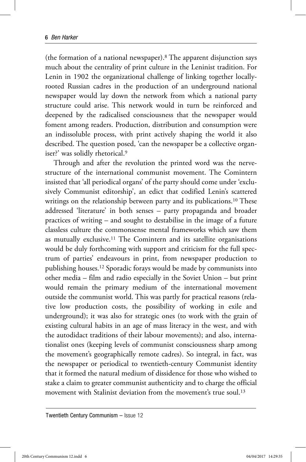(the formation of a national newspaper).8 The apparent disjunction says much about the centrality of print culture in the Leninist tradition. For Lenin in 1902 the organizational challenge of linking together locallyrooted Russian cadres in the production of an underground national newspaper would lay down the network from which a national party structure could arise. This network would in turn be reinforced and deepened by the radicalised consciousness that the newspaper would foment among readers. Production, distribution and consumption were an indissoluble process, with print actively shaping the world it also described. The question posed, 'can the newspaper be a collective organiser?' was solidly rhetorical.9

Through and after the revolution the printed word was the nervestructure of the international communist movement. The Comintern insisted that 'all periodical organs' of the party should come under 'exclusively Communist editorship', an edict that codified Lenin's scattered writings on the relationship between party and its publications.<sup>10</sup> These addressed 'literature' in both senses – party propaganda and broader practices of writing – and sought to destabilise in the image of a future classless culture the commonsense mental frameworks which saw them as mutually exclusive.11 The Comintern and its satellite organisations would be duly forthcoming with support and criticism for the full spectrum of parties' endeavours in print, from newspaper production to publishing houses.12 Sporadic forays would be made by communists into other media – film and radio especially in the Soviet Union – but print would remain the primary medium of the international movement outside the communist world. This was partly for practical reasons (relative low production costs, the possibility of working in exile and underground); it was also for strategic ones (to work with the grain of existing cultural habits in an age of mass literacy in the west, and with the autodidact traditions of their labour movements); and also, internationalist ones (keeping levels of communist consciousness sharp among the movement's geographically remote cadres). So integral, in fact, was the newspaper or periodical to twentieth-century Communist identity that it formed the natural medium of dissidence for those who wished to stake a claim to greater communist authenticity and to charge the official movement with Stalinist deviation from the movement's true soul.<sup>13</sup>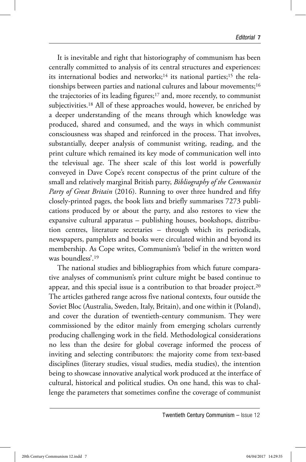It is inevitable and right that historiography of communism has been centrally committed to analysis of its central structures and experiences: its international bodies and networks;<sup>14</sup> its national parties;<sup>15</sup> the relationships between parties and national cultures and labour movements;16 the trajectories of its leading figures;17 and, more recently, to communist subjectivities.18 All of these approaches would, however, be enriched by a deeper understanding of the means through which knowledge was produced, shared and consumed, and the ways in which communist consciousness was shaped and reinforced in the process. That involves, substantially, deeper analysis of communist writing, reading, and the print culture which remained its key mode of communication well into the televisual age. The sheer scale of this lost world is powerfully conveyed in Dave Cope's recent conspectus of the print culture of the small and relatively marginal British party, *Bibliography of the Communist Party of Great Britain* (2016). Running to over three hundred and fifty closely-printed pages, the book lists and briefly summarises 7273 publications produced by or about the party, and also restores to view the expansive cultural apparatus – publishing houses, bookshops, distribution centres, literature secretaries – through which its periodicals, newspapers, pamphlets and books were circulated within and beyond its membership. As Cope writes, Communism's 'belief in the written word was boundless'.19

The national studies and bibliographies from which future comparative analyses of communism's print culture might be based continue to appear, and this special issue is a contribution to that broader project.<sup>20</sup> The articles gathered range across five national contexts, four outside the Soviet Bloc (Australia, Sweden, Italy, Britain), and one within it (Poland), and cover the duration of twentieth-century communism. They were commissioned by the editor mainly from emerging scholars currently producing challenging work in the field. Methodological considerations no less than the desire for global coverage informed the process of inviting and selecting contributors: the majority come from text-based disciplines (literary studies, visual studies, media studies), the intention being to showcase innovative analytical work produced at the interface of cultural, historical and political studies. On one hand, this was to challenge the parameters that sometimes confine the coverage of communist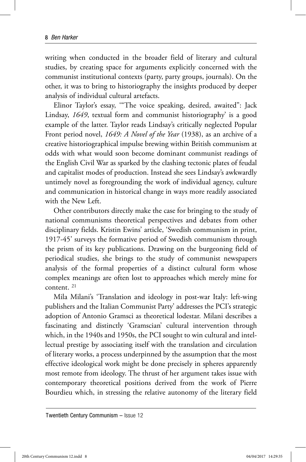writing when conducted in the broader field of literary and cultural studies, by creating space for arguments explicitly concerned with the communist institutional contexts (party, party groups, journals). On the other, it was to bring to historiography the insights produced by deeper analysis of individual cultural artefacts.

Elinor Taylor's essay, '"The voice speaking, desired, awaited": Jack Lindsay, *1649*, textual form and communist historiography' is a good example of the latter. Taylor reads Lindsay's critically neglected Popular Front period novel, *1649: A Novel of the Year* (1938), as an archive of a creative historiographical impulse brewing within British communism at odds with what would soon become dominant communist readings of the English Civil War as sparked by the clashing tectonic plates of feudal and capitalist modes of production. Instead she sees Lindsay's awkwardly untimely novel as foregrounding the work of individual agency, culture and communication in historical change in ways more readily associated with the New Left.

Other contributors directly make the case for bringing to the study of national communisms theoretical perspectives and debates from other disciplinary fields. Kristin Ewins' article, 'Swedish communism in print, 1917-45' surveys the formative period of Swedish communism through the prism of its key publications. Drawing on the burgeoning field of periodical studies, she brings to the study of communist newspapers analysis of the formal properties of a distinct cultural form whose complex meanings are often lost to approaches which merely mine for content. 21

Mila Milani's 'Translation and ideology in post-war Italy: left-wing publishers and the Italian Communist Party' addresses the PCI's strategic adoption of Antonio Gramsci as theoretical lodestar. Milani describes a fascinating and distinctly 'Gramscian' cultural intervention through which, in the 1940s and 1950s, the PCI sought to win cultural and intellectual prestige by associating itself with the translation and circulation of literary works, a process underpinned by the assumption that the most effective ideological work might be done precisely in spheres apparently most remote from ideology. The thrust of her argument takes issue with contemporary theoretical positions derived from the work of Pierre Bourdieu which, in stressing the relative autonomy of the literary field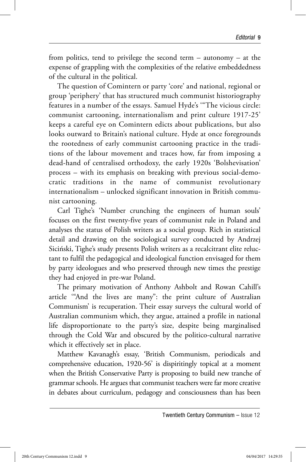from politics, tend to privilege the second term – autonomy – at the expense of grappling with the complexities of the relative embeddedness of the cultural in the political.

The question of Comintern or party 'core' and national, regional or group 'periphery' that has structured much communist historiography features in a number of the essays. Samuel Hyde's '"The vicious circle: communist cartooning, internationalism and print culture 1917-25' keeps a careful eye on Comintern edicts about publications, but also looks outward to Britain's national culture. Hyde at once foregrounds the rootedness of early communist cartooning practice in the traditions of the labour movement and traces how, far from imposing a dead-hand of centralised orthodoxy, the early 1920s 'Bolshevisation' process – with its emphasis on breaking with previous social-democratic traditions in the name of communist revolutionary internationalism – unlocked significant innovation in British communist cartooning.

Carl Tighe's 'Number crunching the engineers of human souls' focuses on the first twenty-five years of communist rule in Poland and analyses the status of Polish writers as a social group. Rich in statistical detail and drawing on the sociological survey conducted by Andrzej Siciński, Tighe's study presents Polish writers as a recalcitrant elite reluctant to fulfil the pedagogical and ideological function envisaged for them by party ideologues and who preserved through new times the prestige they had enjoyed in pre-war Poland.

The primary motivation of Anthony Ashbolt and Rowan Cahill's article '"And the lives are many": the print culture of Australian Communism' is recuperation. Their essay surveys the cultural world of Australian communism which, they argue, attained a profile in national life disproportionate to the party's size, despite being marginalised through the Cold War and obscured by the politico-cultural narrative which it effectively set in place.

Matthew Kavanagh's essay, 'British Communism, periodicals and comprehensive education, 1920-56' is dispiritingly topical at a moment when the British Conservative Party is proposing to build new tranche of grammar schools. He argues that communist teachers were far more creative in debates about curriculum, pedagogy and consciousness than has been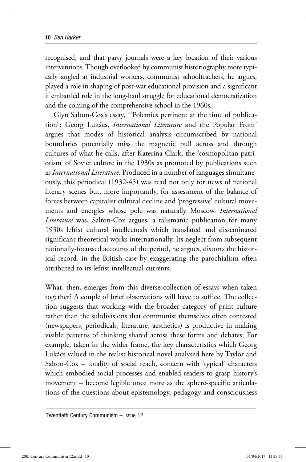recognised, and that party journals were a key location of their various interventions. Though overlooked by communist historiography more typically angled at industrial workers, communist schoolteachers, he argues, played a role in shaping of post-war educational provision and a significant if embattled role in the long-haul struggle for educational democratization and the coming of the comprehensive school in the 1960s.

Glyn Salton-Cox's essay, '"Polemics pertinent at the time of publication": Georg Lukács, *International Literature* and the Popular Front' argues that modes of historical analysis circumscribed by national boundaries potentially miss the magnetic pull across and through cultures of what he calls, after Katerina Clark, the 'cosmopolitan patriotism' of Soviet culture in the 1930s as promoted by publications such as *International Literature*. Produced in a number of languages simultaneously, this periodical (1932-45) was read not only for news of national literary scenes but, more importantly, for assessment of the balance of forces between capitalist cultural decline and 'progressive' cultural movements and energies whose pole was naturally Moscow. *International Literature* was, Salton-Cox argues, a talismanic publication for many 1930s leftist cultural intellectuals which translated and disseminated significant theoretical works internationally. Its neglect from subsequent nationally-focussed accounts of the period, he argues, distorts the historical record, in the British case by exaggerating the parochialism often attributed to its leftist intellectual currents.

What, then, emerges from this diverse collection of essays when taken together? A couple of brief observations will have to suffice. The collection suggests that working with the broader category of print culture rather than the subdivisions that communist themselves often contested (newspapers, periodicals, literature, aesthetics) is productive in making visible patterns of thinking shared across these forms and debates. For example, taken in the wider frame, the key characteristics which Georg Lukács valued in the realist historical novel analysed here by Taylor and Salton-Cox – totality of social reach, concern with 'typical' characters which embodied social processes and enabled readers to grasp history's movement – become legible once more as the sphere-specific articulations of the questions about epistemology, pedagogy and consciousness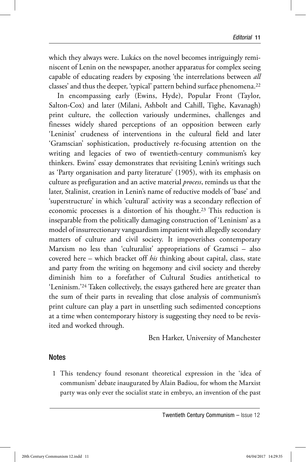which they always were. Lukács on the novel becomes intriguingly reminiscent of Lenin on the newspaper, another apparatus for complex seeing capable of educating readers by exposing 'the interrelations between *all*  classes' and thus the deeper, 'typical' pattern behind surface phenomena.<sup>22</sup>

In encompassing early (Ewins, Hyde), Popular Front (Taylor, Salton-Cox) and later (Milani, Ashbolt and Cahill, Tighe, Kavanagh) print culture, the collection variously undermines, challenges and finesses widely shared perceptions of an opposition between early 'Leninist' crudeness of interventions in the cultural field and later 'Gramscian' sophistication, productively re-focusing attention on the writing and legacies of two of twentieth-century communism's key thinkers. Ewins' essay demonstrates that revisiting Lenin's writings such as 'Party organisation and party literature' (1905), with its emphasis on culture as prefiguration and an active material *process*, reminds us that the later, Stalinist, creation in Lenin's name of reductive models of 'base' and 'superstructure' in which 'cultural' activity was a secondary reflection of economic processes is a distortion of his thought.23 This reduction is inseparable from the politically damaging construction of 'Leninism' as a model of insurrectionary vanguardism impatient with allegedly secondary matters of culture and civil society. It impoverishes contemporary Marxism no less than 'culturalist' appropriations of Gramsci – also covered here – which bracket off *his* thinking about capital, class, state and party from the writing on hegemony and civil society and thereby diminish him to a forefather of Cultural Studies antithetical to 'Leninism.'24 Taken collectively, the essays gathered here are greater than the sum of their parts in revealing that close analysis of communism's print culture can play a part in unsettling such sedimented conceptions at a time when contemporary history is suggesting they need to be revisited and worked through.

Ben Harker, University of Manchester

## **Notes**

 1 This tendency found resonant theoretical expression in the 'idea of communism' debate inaugurated by Alain Badiou, for whom the Marxist party was only ever the socialist state in embryo, an invention of the past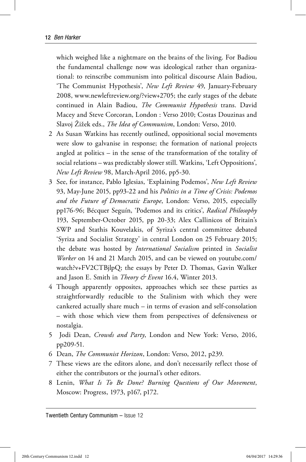which weighed like a nightmare on the brains of the living. For Badiou the fundamental challenge now was ideological rather than organizational: to reinscribe communism into political discourse Alain Badiou, 'The Communist Hypothesis', *New Left Review* 49, January-February 2008, www.newleftreview.org/?view+2705; the early stages of the debate continued in Alain Badiou, *The Communist Hypothesis* trans. David Macey and Steve Corcoran, London : Verso 2010; Costas Douzinas and Slavoj Žižek eds., *The Idea of Communism*, London: Verso, 2010.

- 2 As Susan Watkins has recently outlined, oppositional social movements were slow to galvanise in response; the formation of national projects angled at politics – in the sense of the transformation of the totality of social relations – was predictably slower still. Watkins, 'Left Oppositions', *New Left Review* 98, March-April 2016, pp5-30.
- 3 See, for instance, Pablo Iglesias, 'Explaining Podemos', *New Left Review*  93, May-June 2015, pp93-22 and his *Politics in a Time of Crisis: Podemos and the Future of Democratic Europe*, London: Verso, 2015, especially pp176-96; Bécquer Seguín, 'Podemos and its critics', *Radical Philosophy*  193, September-October 2015, pp 20-33; Alex Callinicos of Britain's SWP and Stathis Kouvelakis, of Syriza's central committee debated 'Syriza and Socialist Strategy' in central London on 25 February 2015; the debate was hosted by *International Socialism* printed in *Socialist Worker* on 14 and 21 March 2015, and can be viewed on youtube.com/ watch?v+FV2CTBjlpQ; the essays by Peter D. Thomas, Gavin Walker and Jason E. Smith in *Theory & Event* 16.4, Winter 2013.
- 4 Though apparently opposites, approaches which see these parties as straightforwardly reducible to the Stalinism with which they were cankered actually share much – in terms of evasion and self-consolation – with those which view them from perspectives of defensiveness or nostalgia.
- 5 Jodi Dean, *Crowds and Party*, London and New York: Verso, 2016, pp209-51.
- 6 Dean, *The Communist Horizon*, London: Verso, 2012, p239.
- 7 These views are the editors alone, and don't necessarily reflect those of either the contributors or the journal's other editors.
- 8 Lenin, *What Is To Be Done? Burning Questions of Our Movement*, Moscow: Progress, 1973, p167, p172.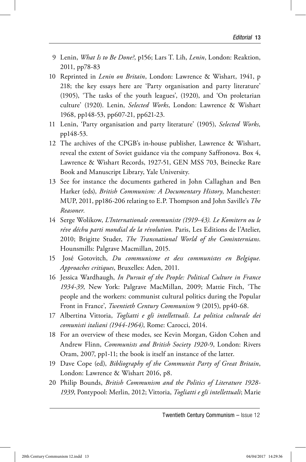- 9 Lenin, *What Is to Be Done?*, p156; Lars T. Lih, *Lenin*, London: Reaktion, 2011, pp78-83
- 10 Reprinted in *Lenin on Britain*, London: Lawrence & Wishart, 1941, p 218; the key essays here are 'Party organisation and party literature' (1905), 'The tasks of the youth leagues', (1920), and 'On proletarian culture' (1920). Lenin, *Selected Works*, London: Lawrence & Wishart 1968, pp148-53, pp607-21, pp621-23.
- 11 Lenin, 'Party organisation and party literature' (1905), *Selected Works,*  pp148-53.
- 12 The archives of the CPGB's in-house publisher, Lawrence & Wishart, reveal the extent of Soviet guidance via the company Saffronova. Box 4, Lawrence & Wishart Records, 1927-51, GEN MSS 703, Beinecke Rare Book and Manuscript Library, Yale University.
- 13 See for instance the documents gathered in John Callaghan and Ben Harker (eds), *British Communism: A Documentary History*, Manchester: MUP, 2011, pp186-206 relating to E.P. Thompson and John Saville's *The Reasoner.*
- 14 Serge Wolikow, *L'Internationale communiste (1919-43). Le Komitern ou le réve déchu parti mondial de la révolution.* Paris, Les Editions de l'Atelier, 2010; Brigitte Studer, *The Transnational World of the Cominternians*. Hounsmills: Palgrave Macmillan, 2015.
- 15 José Gotovitch, *Du communisme et dess communistes en Belgique. Approaches critiques*, Bruxelles: Aden, 2011.
- 16 Jessica Wardhaugh, *In Pursuit of the People: Political Culture in France 1934-39*, New York: Palgrave MacMillan, 2009; Mattie Fitch, 'The people and the workers: communist cultural politics during the Popular Front in France', *Twentieth Century Communism* 9 (2015), pp40-68.
- 17 Albertina Vittoria, *Togliatti e gli intellettuali. La politica culturale dei comunisti italiani (1944-1964)*, Rome: Carocci, 2014.
- 18 For an overview of these modes, see Kevin Morgan, Gidon Cohen and Andrew Flinn, *Communists and British Society 1920-*9, London: Rivers Oram, 2007, pp1-11; the book is itself an instance of the latter.
- 19 Dave Cope (ed), *Bibliography of the Communist Party of Great Britain*, London: Lawrence & Wishart 2016, p8.
- 20 Philip Bounds, *British Communism and the Politics of Literature 1928- 1939*, Pontypool: Merlin, 2012; Vittoria, *Togliatti e gli intellettuali*; Marie